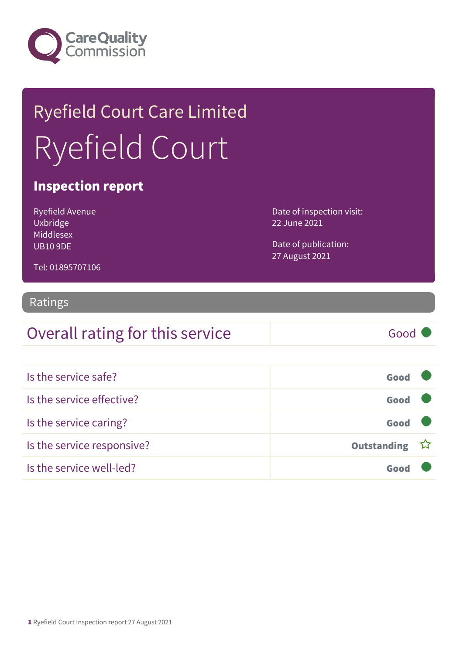

# Ryefield Court Care Limited Ryefield Court

### Inspection report

Ryefield Avenue Uxbridge Middlesex UB10 9DE

Date of inspection visit: 22 June 2021

Date of publication: 27 August 2021

#### Tel: 01895707106

#### Ratings

### Overall rating for this service Good

| Is the service safe?       | Good          |  |
|----------------------------|---------------|--|
| Is the service effective?  | Good          |  |
| Is the service caring?     | Good          |  |
| Is the service responsive? | Outstanding ☆ |  |
| Is the service well-led?   |               |  |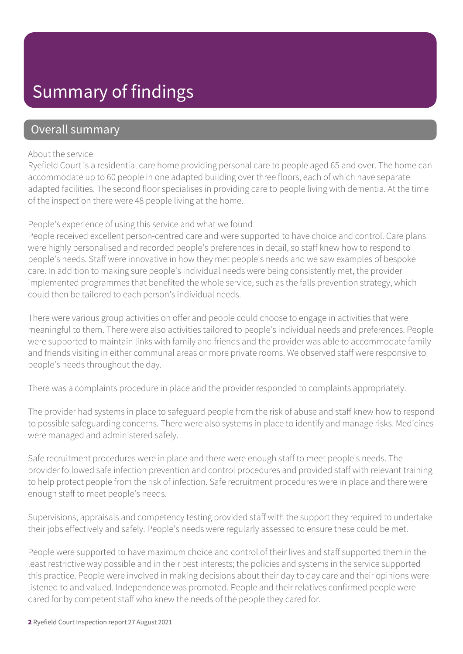### Summary of findings

### Overall summary

#### About the service

Ryefield Court is a residential care home providing personal care to people aged 65 and over. The home can accommodate up to 60 people in one adapted building over three floors, each of which have separate adapted facilities. The second floor specialises in providing care to people living with dementia. At the time of the inspection there were 48 people living at the home.

#### People's experience of using this service and what we found

People received excellent person-centred care and were supported to have choice and control. Care plans were highly personalised and recorded people's preferences in detail, so staff knew how to respond to people's needs. Staff were innovative in how they met people's needs and we saw examples of bespoke care. In addition to making sure people's individual needs were being consistently met, the provider implemented programmes that benefited the whole service, such as the falls prevention strategy, which could then be tailored to each person's individual needs.

There were various group activities on offer and people could choose to engage in activities that were meaningful to them. There were also activities tailored to people's individual needs and preferences. People were supported to maintain links with family and friends and the provider was able to accommodate family and friends visiting in either communal areas or more private rooms. We observed staff were responsive to people's needs throughout the day.

There was a complaints procedure in place and the provider responded to complaints appropriately.

The provider had systems in place to safeguard people from the risk of abuse and staff knew how to respond to possible safeguarding concerns. There were also systems in place to identify and manage risks. Medicines were managed and administered safely.

Safe recruitment procedures were in place and there were enough staff to meet people's needs. The provider followed safe infection prevention and control procedures and provided staff with relevant training to help protect people from the risk of infection. Safe recruitment procedures were in place and there were enough staff to meet people's needs.

Supervisions, appraisals and competency testing provided staff with the support they required to undertake their jobs effectively and safely. People's needs were regularly assessed to ensure these could be met.

People were supported to have maximum choice and control of their lives and staff supported them in the least restrictive way possible and in their best interests; the policies and systems in the service supported this practice. People were involved in making decisions about their day to day care and their opinions were listened to and valued. Independence was promoted. People and their relatives confirmed people were cared for by competent staff who knew the needs of the people they cared for.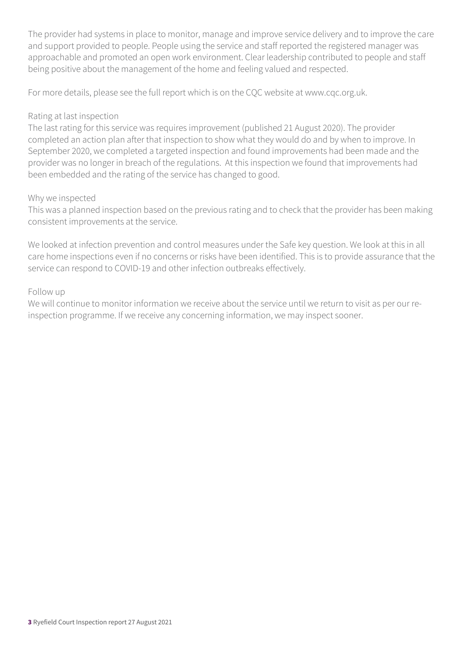The provider had systems in place to monitor, manage and improve service delivery and to improve the care and support provided to people. People using the service and staff reported the registered manager was approachable and promoted an open work environment. Clear leadership contributed to people and staff being positive about the management of the home and feeling valued and respected.

For more details, please see the full report which is on the CQC website at www.cqc.org.uk.

#### Rating at last inspection

The last rating for this service was requires improvement (published 21 August 2020). The provider completed an action plan after that inspection to show what they would do and by when to improve. In September 2020, we completed a targeted inspection and found improvements had been made and the provider was no longer in breach of the regulations. At this inspection we found that improvements had been embedded and the rating of the service has changed to good.

#### Why we inspected

This was a planned inspection based on the previous rating and to check that the provider has been making consistent improvements at the service.

We looked at infection prevention and control measures under the Safe key question. We look at this in all care home inspections even if no concerns or risks have been identified. This is to provide assurance that the service can respond to COVID-19 and other infection outbreaks effectively.

#### Follow up

We will continue to monitor information we receive about the service until we return to visit as per our reinspection programme. If we receive any concerning information, we may inspect sooner.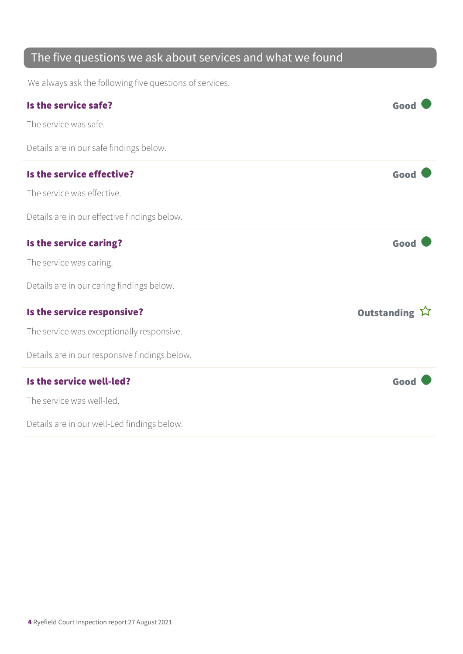### The five questions we ask about services and what we found

We always ask the following five questions of services.

| Is the service safe?                          | Good          |
|-----------------------------------------------|---------------|
| The service was safe.                         |               |
| Details are in our safe findings below.       |               |
| Is the service effective?                     | Good          |
| The service was effective.                    |               |
| Details are in our effective findings below.  |               |
| Is the service caring?                        | Good          |
| The service was caring.                       |               |
| Details are in our caring findings below.     |               |
| Is the service responsive?                    | Outstanding ☆ |
| The service was exceptionally responsive.     |               |
| Details are in our responsive findings below. |               |
| Is the service well-led?                      | Good          |
| The service was well-led.                     |               |
| Details are in our well-Led findings below.   |               |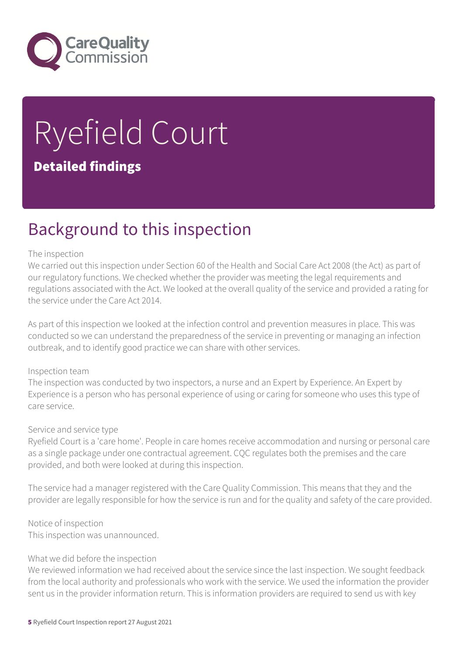

# Ryefield Court Detailed findings

### Background to this inspection

#### The inspection

We carried out this inspection under Section 60 of the Health and Social Care Act 2008 (the Act) as part of our regulatory functions. We checked whether the provider was meeting the legal requirements and regulations associated with the Act. We looked at the overall quality of the service and provided a rating for the service under the Care Act 2014.

As part of this inspection we looked at the infection control and prevention measures in place. This was conducted so we can understand the preparedness of the service in preventing or managing an infection outbreak, and to identify good practice we can share with other services.

#### Inspection team

The inspection was conducted by two inspectors, a nurse and an Expert by Experience. An Expert by Experience is a person who has personal experience of using or caring for someone who uses this type of care service.

#### Service and service type

Ryefield Court is a 'care home'. People in care homes receive accommodation and nursing or personal care as a single package under one contractual agreement. CQC regulates both the premises and the care provided, and both were looked at during this inspection.

The service had a manager registered with the Care Quality Commission. This means that they and the provider are legally responsible for how the service is run and for the quality and safety of the care provided.

Notice of inspection This inspection was unannounced.

#### What we did before the inspection

We reviewed information we had received about the service since the last inspection. We sought feedback from the local authority and professionals who work with the service. We used the information the provider sent us in the provider information return. This is information providers are required to send us with key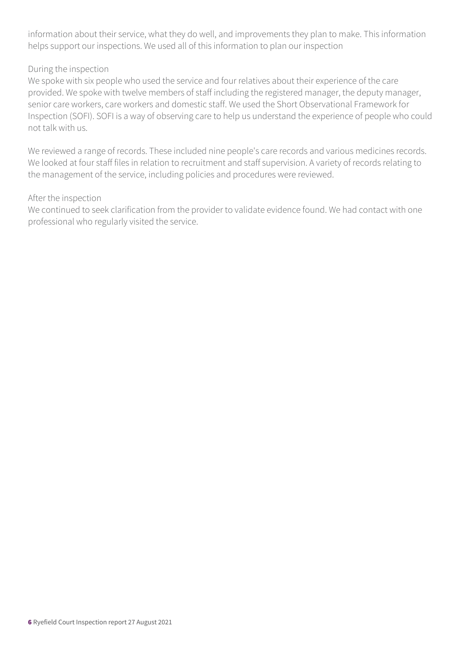information about their service, what they do well, and improvements they plan to make. This information helps support our inspections. We used all of this information to plan our inspection

#### During the inspection

We spoke with six people who used the service and four relatives about their experience of the care provided. We spoke with twelve members of staff including the registered manager, the deputy manager, senior care workers, care workers and domestic staff. We used the Short Observational Framework for Inspection (SOFI). SOFI is a way of observing care to help us understand the experience of people who could not talk with us.

We reviewed a range of records. These included nine people's care records and various medicines records. We looked at four staff files in relation to recruitment and staff supervision. A variety of records relating to the management of the service, including policies and procedures were reviewed.

#### After the inspection

We continued to seek clarification from the provider to validate evidence found. We had contact with one professional who regularly visited the service.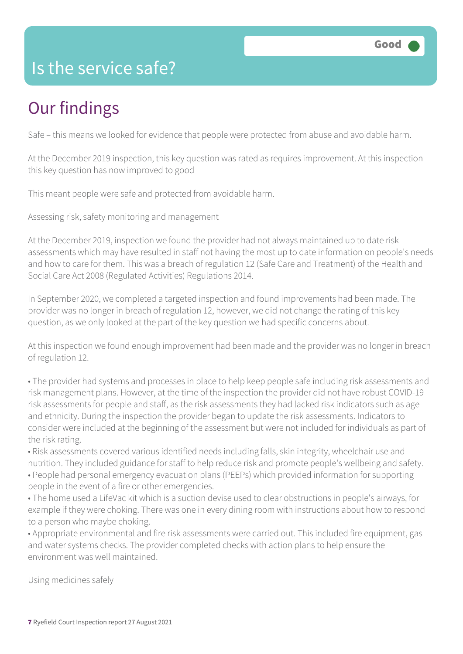### Is the service safe?

# Our findings

Safe – this means we looked for evidence that people were protected from abuse and avoidable harm.

At the December 2019 inspection, this key question was rated as requires improvement. At this inspection this key question has now improved to good

This meant people were safe and protected from avoidable harm.

Assessing risk, safety monitoring and management

At the December 2019, inspection we found the provider had not always maintained up to date risk assessments which may have resulted in staff not having the most up to date information on people's needs and how to care for them. This was a breach of regulation 12 (Safe Care and Treatment) of the Health and Social Care Act 2008 (Regulated Activities) Regulations 2014.

In September 2020, we completed a targeted inspection and found improvements had been made. The provider was no longer in breach of regulation 12, however, we did not change the rating of this key question, as we only looked at the part of the key question we had specific concerns about.

At this inspection we found enough improvement had been made and the provider was no longer in breach of regulation 12.

• The provider had systems and processes in place to help keep people safe including risk assessments and risk management plans. However, at the time of the inspection the provider did not have robust COVID-19 risk assessments for people and staff, as the risk assessments they had lacked risk indicators such as age and ethnicity. During the inspection the provider began to update the risk assessments. Indicators to consider were included at the beginning of the assessment but were not included for individuals as part of the risk rating.

• Risk assessments covered various identified needs including falls, skin integrity, wheelchair use and nutrition. They included guidance for staff to help reduce risk and promote people's wellbeing and safety. • People had personal emergency evacuation plans (PEEPs) which provided information for supporting people in the event of a fire or other emergencies.

• The home used a LifeVac kit which is a suction devise used to clear obstructions in people's airways, for example if they were choking. There was one in every dining room with instructions about how to respond to a person who maybe choking.

• Appropriate environmental and fire risk assessments were carried out. This included fire equipment, gas and water systems checks. The provider completed checks with action plans to help ensure the environment was well maintained.

Using medicines safely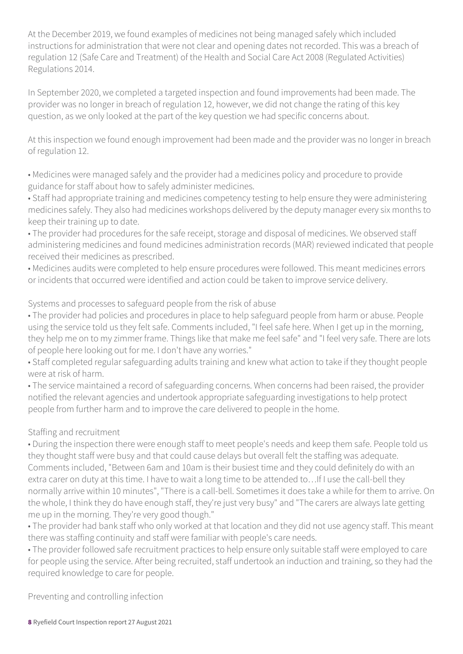At the December 2019, we found examples of medicines not being managed safely which included instructions for administration that were not clear and opening dates not recorded. This was a breach of regulation 12 (Safe Care and Treatment) of the Health and Social Care Act 2008 (Regulated Activities) Regulations 2014.

In September 2020, we completed a targeted inspection and found improvements had been made. The provider was no longer in breach of regulation 12, however, we did not change the rating of this key question, as we only looked at the part of the key question we had specific concerns about.

At this inspection we found enough improvement had been made and the provider was no longer in breach of regulation 12.

• Medicines were managed safely and the provider had a medicines policy and procedure to provide guidance for staff about how to safely administer medicines.

• Staff had appropriate training and medicines competency testing to help ensure they were administering medicines safely. They also had medicines workshops delivered by the deputy manager every six months to keep their training up to date.

• The provider had procedures for the safe receipt, storage and disposal of medicines. We observed staff administering medicines and found medicines administration records (MAR) reviewed indicated that people received their medicines as prescribed.

• Medicines audits were completed to help ensure procedures were followed. This meant medicines errors or incidents that occurred were identified and action could be taken to improve service delivery.

Systems and processes to safeguard people from the risk of abuse

• The provider had policies and procedures in place to help safeguard people from harm or abuse. People using the service told us they felt safe. Comments included, "I feel safe here. When I get up in the morning, they help me on to my zimmer frame. Things like that make me feel safe" and "I feel very safe. There are lots of people here looking out for me. I don't have any worries."

• Staff completed regular safeguarding adults training and knew what action to take if they thought people were at risk of harm.

• The service maintained a record of safeguarding concerns. When concerns had been raised, the provider notified the relevant agencies and undertook appropriate safeguarding investigations to help protect people from further harm and to improve the care delivered to people in the home.

#### Staffing and recruitment

• During the inspection there were enough staff to meet people's needs and keep them safe. People told us they thought staff were busy and that could cause delays but overall felt the staffing was adequate. Comments included, "Between 6am and 10am is their busiest time and they could definitely do with an extra carer on duty at this time. I have to wait a long time to be attended to…If I use the call-bell they normally arrive within 10 minutes", "There is a call-bell. Sometimes it does take a while for them to arrive. On the whole, I think they do have enough staff, they're just very busy" and "The carers are always late getting me up in the morning. They're very good though."

• The provider had bank staff who only worked at that location and they did not use agency staff. This meant there was staffing continuity and staff were familiar with people's care needs.

• The provider followed safe recruitment practices to help ensure only suitable staff were employed to care for people using the service. After being recruited, staff undertook an induction and training, so they had the required knowledge to care for people.

Preventing and controlling infection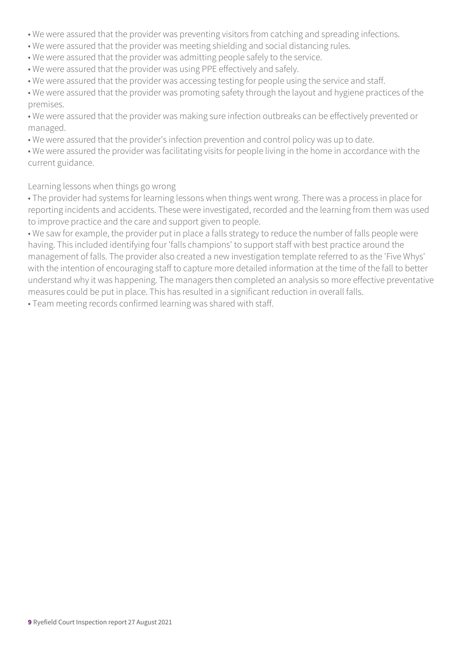- We were assured that the provider was preventing visitors from catching and spreading infections.
- We were assured that the provider was meeting shielding and social distancing rules.
- We were assured that the provider was admitting people safely to the service.
- We were assured that the provider was using PPE effectively and safely.
- We were assured that the provider was accessing testing for people using the service and staff.
- We were assured that the provider was promoting safety through the layout and hygiene practices of the premises.
- We were assured that the provider was making sure infection outbreaks can be effectively prevented or managed.
- We were assured that the provider's infection prevention and control policy was up to date.
- We were assured the provider was facilitating visits for people living in the home in accordance with the current guidance.

#### Learning lessons when things go wrong

- The provider had systems for learning lessons when things went wrong. There was a process in place for reporting incidents and accidents. These were investigated, recorded and the learning from them was used to improve practice and the care and support given to people.
- We saw for example, the provider put in place a falls strategy to reduce the number of falls people were having. This included identifying four 'falls champions' to support staff with best practice around the management of falls. The provider also created a new investigation template referred to as the 'Five Whys' with the intention of encouraging staff to capture more detailed information at the time of the fall to better understand why it was happening. The managers then completed an analysis so more effective preventative measures could be put in place. This has resulted in a significant reduction in overall falls.
- Team meeting records confirmed learning was shared with staff.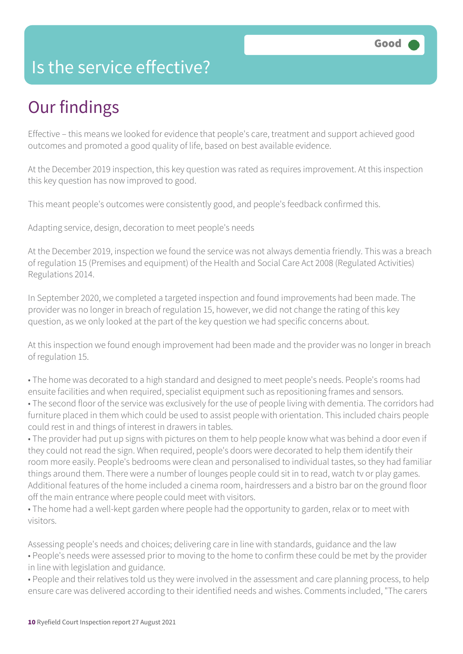### Is the service effective?

# Our findings

Effective – this means we looked for evidence that people's care, treatment and support achieved good outcomes and promoted a good quality of life, based on best available evidence.

At the December 2019 inspection, this key question was rated as requires improvement. At this inspection this key question has now improved to good.

This meant people's outcomes were consistently good, and people's feedback confirmed this.

Adapting service, design, decoration to meet people's needs

At the December 2019, inspection we found the service was not always dementia friendly. This was a breach of regulation 15 (Premises and equipment) of the Health and Social Care Act 2008 (Regulated Activities) Regulations 2014.

In September 2020, we completed a targeted inspection and found improvements had been made. The provider was no longer in breach of regulation 15, however, we did not change the rating of this key question, as we only looked at the part of the key question we had specific concerns about.

At this inspection we found enough improvement had been made and the provider was no longer in breach of regulation 15.

• The home was decorated to a high standard and designed to meet people's needs. People's rooms had ensuite facilities and when required, specialist equipment such as repositioning frames and sensors.

• The second floor of the service was exclusively for the use of people living with dementia. The corridors had furniture placed in them which could be used to assist people with orientation. This included chairs people could rest in and things of interest in drawers in tables.

• The provider had put up signs with pictures on them to help people know what was behind a door even if they could not read the sign. When required, people's doors were decorated to help them identify their room more easily. People's bedrooms were clean and personalised to individual tastes, so they had familiar things around them. There were a number of lounges people could sit in to read, watch tv or play games. Additional features of the home included a cinema room, hairdressers and a bistro bar on the ground floor off the main entrance where people could meet with visitors.

• The home had a well-kept garden where people had the opportunity to garden, relax or to meet with visitors.

Assessing people's needs and choices; delivering care in line with standards, guidance and the law • People's needs were assessed prior to moving to the home to confirm these could be met by the provider in line with legislation and guidance.

• People and their relatives told us they were involved in the assessment and care planning process, to help ensure care was delivered according to their identified needs and wishes. Comments included, "The carers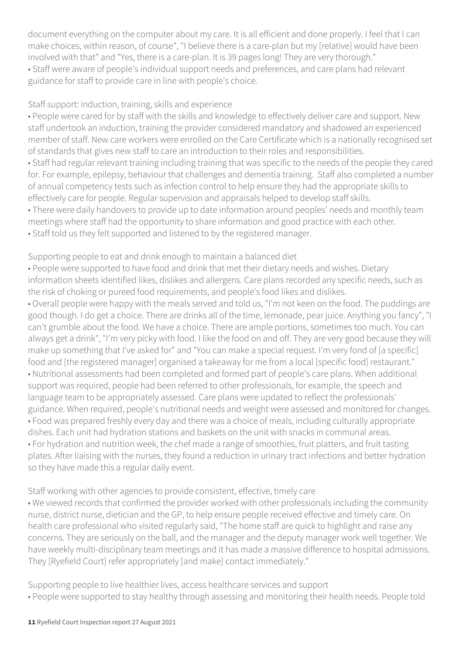document everything on the computer about my care. It is all efficient and done properly. I feel that I can make choices, within reason, of course", "I believe there is a care-plan but my [relative] would have been involved with that" and "Yes, there is a care-plan. It is 39 pages long! They are very thorough." • Staff were aware of people's individual support needs and preferences, and care plans had relevant guidance for staff to provide care in line with people's choice.

#### Staff support: induction, training, skills and experience

• People were cared for by staff with the skills and knowledge to effectively deliver care and support. New staff undertook an induction, training the provider considered mandatory and shadowed an experienced member of staff. New care workers were enrolled on the Care Certificate which is a nationally recognised set of standards that gives new staff to care an introduction to their roles and responsibilities.

• Staff had regular relevant training including training that was specific to the needs of the people they cared for. For example, epilepsy, behaviour that challenges and dementia training. Staff also completed a number of annual competency tests such as infection control to help ensure they had the appropriate skills to effectively care for people. Regular supervision and appraisals helped to develop staff skills.

• There were daily handovers to provide up to date information around peoples' needs and monthly team meetings where staff had the opportunity to share information and good practice with each other.

• Staff told us they felt supported and listened to by the registered manager.

Supporting people to eat and drink enough to maintain a balanced diet

• People were supported to have food and drink that met their dietary needs and wishes. Dietary information sheets identified likes, dislikes and allergens. Care plans recorded any specific needs, such as the risk of choking or pureed food requirements, and people's food likes and dislikes.

• Overall people were happy with the meals served and told us, "I'm not keen on the food. The puddings are good though. I do get a choice. There are drinks all of the time, lemonade, pear juice. Anything you fancy", "I can't grumble about the food. We have a choice. There are ample portions, sometimes too much. You can always get a drink", "I'm very picky with food. I like the food on and off. They are very good because they will make up something that I've asked for" and "You can make a special request. I'm very fond of [a specific] food and [the registered manager] organised a takeaway for me from a local [specific food] restaurant." • Nutritional assessments had been completed and formed part of people's care plans. When additional support was required, people had been referred to other professionals, for example, the speech and language team to be appropriately assessed. Care plans were updated to reflect the professionals' guidance. When required, people's nutritional needs and weight were assessed and monitored for changes. • Food was prepared freshly every day and there was a choice of meals, including culturally appropriate dishes. Each unit had hydration stations and baskets on the unit with snacks in communal areas. • For hydration and nutrition week, the chef made a range of smoothies, fruit platters, and fruit tasting plates. After liaising with the nurses, they found a reduction in urinary tract infections and better hydration so they have made this a regular daily event.

#### Staff working with other agencies to provide consistent, effective, timely care

• We viewed records that confirmed the provider worked with other professionals including the community nurse, district nurse, dietician and the GP, to help ensure people received effective and timely care. On health care professional who visited regularly said, "The home staff are quick to highlight and raise any concerns. They are seriously on the ball, and the manager and the deputy manager work well together. We have weekly multi-disciplinary team meetings and it has made a massive difference to hospital admissions. They [Ryefield Court] refer appropriately [and make] contact immediately."

Supporting people to live healthier lives, access healthcare services and support

• People were supported to stay healthy through assessing and monitoring their health needs. People told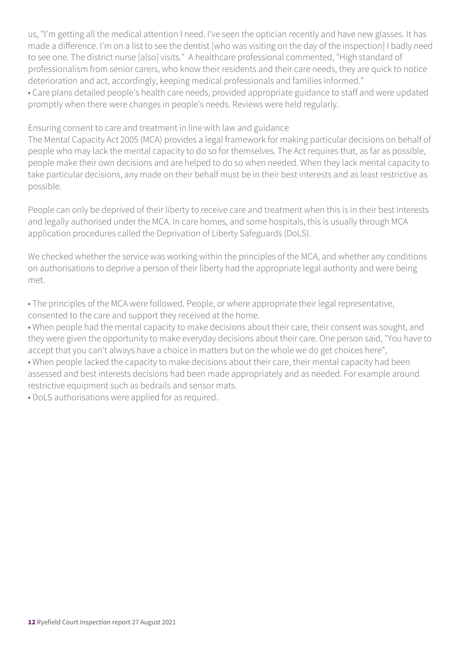us, "I'm getting all the medical attention I need. I've seen the optician recently and have new glasses. It has made a difference. I'm on a list to see the dentist [who was visiting on the day of the inspection] I badly need to see one. The district nurse [also] visits." A healthcare professional commented, "High standard of professionalism from senior carers, who know their residents and their care needs, they are quick to notice deterioration and act, accordingly, keeping medical professionals and families informed." • Care plans detailed people's health care needs, provided appropriate guidance to staff and were updated promptly when there were changes in people's needs. Reviews were held regularly.

Ensuring consent to care and treatment in line with law and guidance

The Mental Capacity Act 2005 (MCA) provides a legal framework for making particular decisions on behalf of people who may lack the mental capacity to do so for themselves. The Act requires that, as far as possible, people make their own decisions and are helped to do so when needed. When they lack mental capacity to take particular decisions, any made on their behalf must be in their best interests and as least restrictive as possible.

People can only be deprived of their liberty to receive care and treatment when this is in their best interests and legally authorised under the MCA. In care homes, and some hospitals, this is usually through MCA application procedures called the Deprivation of Liberty Safeguards (DoLS).

We checked whether the service was working within the principles of the MCA, and whether any conditions on authorisations to deprive a person of their liberty had the appropriate legal authority and were being met.

• The principles of the MCA were followed. People, or where appropriate their legal representative, consented to the care and support they received at the home.

• When people had the mental capacity to make decisions about their care, their consent was sought, and they were given the opportunity to make everyday decisions about their care. One person said, "You have to accept that you can't always have a choice in matters but on the whole we do get choices here",

• When people lacked the capacity to make decisions about their care, their mental capacity had been assessed and best interests decisions had been made appropriately and as needed. For example around restrictive equipment such as bedrails and sensor mats.

• DoLS authorisations were applied for as required.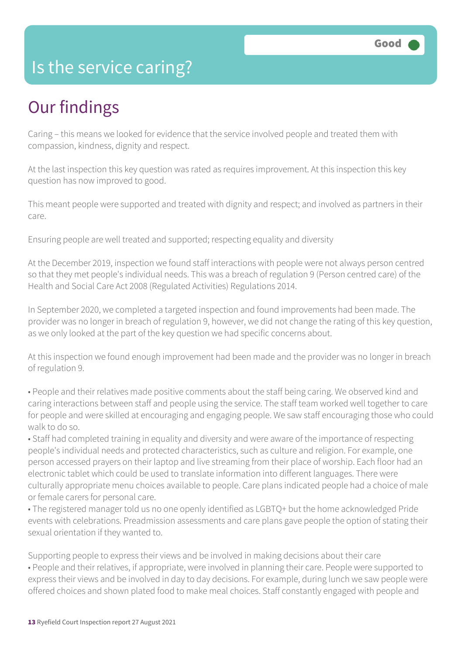### Is the service caring?

# Our findings

Caring – this means we looked for evidence that the service involved people and treated them with compassion, kindness, dignity and respect.

At the last inspection this key question was rated as requires improvement. At this inspection this key question has now improved to good.

This meant people were supported and treated with dignity and respect; and involved as partners in their care.

Ensuring people are well treated and supported; respecting equality and diversity

At the December 2019, inspection we found staff interactions with people were not always person centred so that they met people's individual needs. This was a breach of regulation 9 (Person centred care) of the Health and Social Care Act 2008 (Regulated Activities) Regulations 2014.

In September 2020, we completed a targeted inspection and found improvements had been made. The provider was no longer in breach of regulation 9, however, we did not change the rating of this key question, as we only looked at the part of the key question we had specific concerns about.

At this inspection we found enough improvement had been made and the provider was no longer in breach of regulation 9.

• People and their relatives made positive comments about the staff being caring. We observed kind and caring interactions between staff and people using the service. The staff team worked well together to care for people and were skilled at encouraging and engaging people. We saw staff encouraging those who could walk to do so.

• Staff had completed training in equality and diversity and were aware of the importance of respecting people's individual needs and protected characteristics, such as culture and religion. For example, one person accessed prayers on their laptop and live streaming from their place of worship. Each floor had an electronic tablet which could be used to translate information into different languages. There were culturally appropriate menu choices available to people. Care plans indicated people had a choice of male or female carers for personal care.

• The registered manager told us no one openly identified as LGBTQ+ but the home acknowledged Pride events with celebrations. Preadmission assessments and care plans gave people the option of stating their sexual orientation if they wanted to.

Supporting people to express their views and be involved in making decisions about their care • People and their relatives, if appropriate, were involved in planning their care. People were supported to express their views and be involved in day to day decisions. For example, during lunch we saw people were offered choices and shown plated food to make meal choices. Staff constantly engaged with people and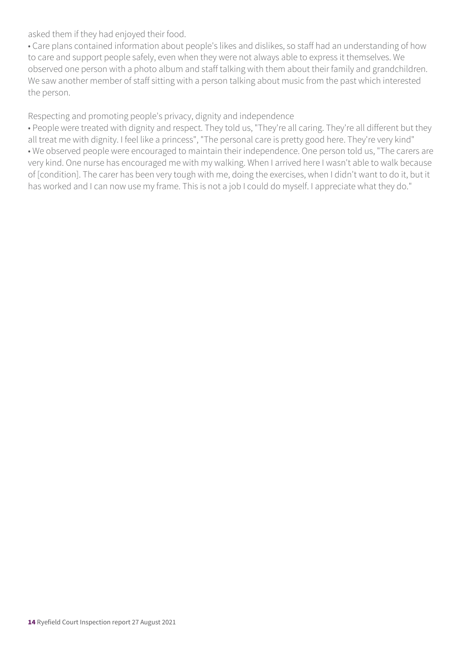asked them if they had enjoyed their food.

• Care plans contained information about people's likes and dislikes, so staff had an understanding of how to care and support people safely, even when they were not always able to express it themselves. We observed one person with a photo album and staff talking with them about their family and grandchildren. We saw another member of staff sitting with a person talking about music from the past which interested the person.

Respecting and promoting people's privacy, dignity and independence

• People were treated with dignity and respect. They told us, "They're all caring. They're all different but they all treat me with dignity. I feel like a princess", "The personal care is pretty good here. They're very kind" • We observed people were encouraged to maintain their independence. One person told us, "The carers are very kind. One nurse has encouraged me with my walking. When I arrived here I wasn't able to walk because of [condition]. The carer has been very tough with me, doing the exercises, when I didn't want to do it, but it has worked and I can now use my frame. This is not a job I could do myself. I appreciate what they do."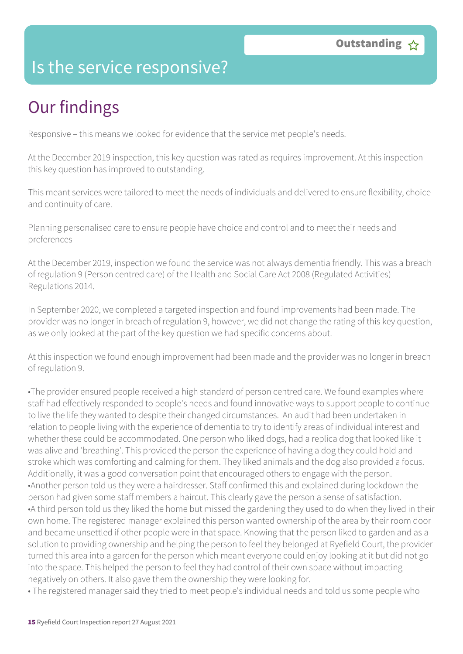### Is the service responsive?

# Our findings

Responsive – this means we looked for evidence that the service met people's needs.

At the December 2019 inspection, this key question was rated as requires improvement. At this inspection this key question has improved to outstanding.

This meant services were tailored to meet the needs of individuals and delivered to ensure flexibility, choice and continuity of care.

Planning personalised care to ensure people have choice and control and to meet their needs and preferences

At the December 2019, inspection we found the service was not always dementia friendly. This was a breach of regulation 9 (Person centred care) of the Health and Social Care Act 2008 (Regulated Activities) Regulations 2014.

In September 2020, we completed a targeted inspection and found improvements had been made. The provider was no longer in breach of regulation 9, however, we did not change the rating of this key question, as we only looked at the part of the key question we had specific concerns about.

At this inspection we found enough improvement had been made and the provider was no longer in breach of regulation 9.

•The provider ensured people received a high standard of person centred care. We found examples where staff had effectively responded to people's needs and found innovative ways to support people to continue to live the life they wanted to despite their changed circumstances. An audit had been undertaken in relation to people living with the experience of dementia to try to identify areas of individual interest and whether these could be accommodated. One person who liked dogs, had a replica dog that looked like it was alive and 'breathing'. This provided the person the experience of having a dog they could hold and stroke which was comforting and calming for them. They liked animals and the dog also provided a focus. Additionally, it was a good conversation point that encouraged others to engage with the person. •Another person told us they were a hairdresser. Staff confirmed this and explained during lockdown the person had given some staff members a haircut. This clearly gave the person a sense of satisfaction. •A third person told us they liked the home but missed the gardening they used to do when they lived in their own home. The registered manager explained this person wanted ownership of the area by their room door and became unsettled if other people were in that space. Knowing that the person liked to garden and as a solution to providing ownership and helping the person to feel they belonged at Ryefield Court, the provider turned this area into a garden for the person which meant everyone could enjoy looking at it but did not go into the space. This helped the person to feel they had control of their own space without impacting negatively on others. It also gave them the ownership they were looking for.

• The registered manager said they tried to meet people's individual needs and told us some people who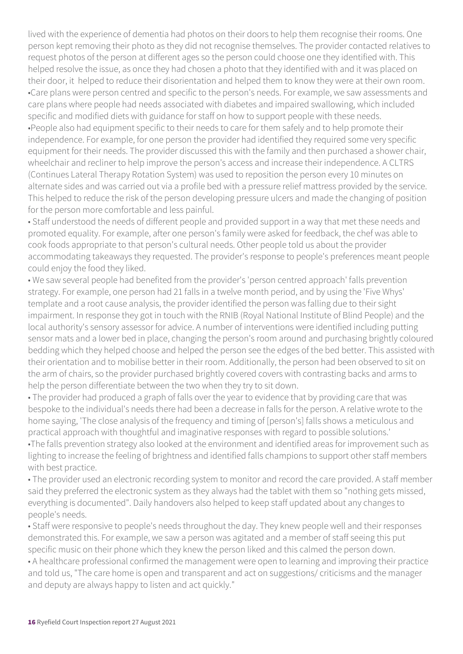lived with the experience of dementia had photos on their doors to help them recognise their rooms. One person kept removing their photo as they did not recognise themselves. The provider contacted relatives to request photos of the person at different ages so the person could choose one they identified with. This helped resolve the issue, as once they had chosen a photo that they identified with and it was placed on their door, it helped to reduce their disorientation and helped them to know they were at their own room. •Care plans were person centred and specific to the person's needs. For example, we saw assessments and care plans where people had needs associated with diabetes and impaired swallowing, which included specific and modified diets with guidance for staff on how to support people with these needs. •People also had equipment specific to their needs to care for them safely and to help promote their independence. For example, for one person the provider had identified they required some very specific equipment for their needs. The provider discussed this with the family and then purchased a shower chair, wheelchair and recliner to help improve the person's access and increase their independence. A CLTRS (Continues Lateral Therapy Rotation System) was used to reposition the person every 10 minutes on alternate sides and was carried out via a profile bed with a pressure relief mattress provided by the service. This helped to reduce the risk of the person developing pressure ulcers and made the changing of position for the person more comfortable and less painful.

• Staff understood the needs of different people and provided support in a way that met these needs and promoted equality. For example, after one person's family were asked for feedback, the chef was able to cook foods appropriate to that person's cultural needs. Other people told us about the provider accommodating takeaways they requested. The provider's response to people's preferences meant people could enjoy the food they liked.

• We saw several people had benefited from the provider's 'person centred approach' falls prevention strategy. For example, one person had 21 falls in a twelve month period, and by using the 'Five Whys' template and a root cause analysis, the provider identified the person was falling due to their sight impairment. In response they got in touch with the RNIB (Royal National Institute of Blind People) and the local authority's sensory assessor for advice. A number of interventions were identified including putting sensor mats and a lower bed in place, changing the person's room around and purchasing brightly coloured bedding which they helped choose and helped the person see the edges of the bed better. This assisted with their orientation and to mobilise better in their room. Additionally, the person had been observed to sit on the arm of chairs, so the provider purchased brightly covered covers with contrasting backs and arms to help the person differentiate between the two when they try to sit down.

• The provider had produced a graph of falls over the year to evidence that by providing care that was bespoke to the individual's needs there had been a decrease in falls for the person. A relative wrote to the home saying, 'The close analysis of the frequency and timing of [person's] falls shows a meticulous and practical approach with thoughtful and imaginative responses with regard to possible solutions.' •The falls prevention strategy also looked at the environment and identified areas for improvement such as

lighting to increase the feeling of brightness and identified falls champions to support other staff members with best practice.

• The provider used an electronic recording system to monitor and record the care provided. A staff member said they preferred the electronic system as they always had the tablet with them so "nothing gets missed, everything is documented". Daily handovers also helped to keep staff updated about any changes to people's needs.

• Staff were responsive to people's needs throughout the day. They knew people well and their responses demonstrated this. For example, we saw a person was agitated and a member of staff seeing this put specific music on their phone which they knew the person liked and this calmed the person down.

• A healthcare professional confirmed the management were open to learning and improving their practice and told us, "The care home is open and transparent and act on suggestions/ criticisms and the manager and deputy are always happy to listen and act quickly."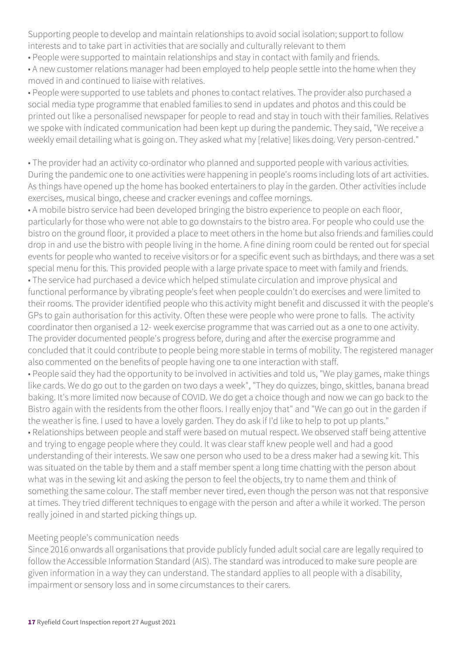Supporting people to develop and maintain relationships to avoid social isolation; support to follow interests and to take part in activities that are socially and culturally relevant to them

• People were supported to maintain relationships and stay in contact with family and friends.

• A new customer relations manager had been employed to help people settle into the home when they moved in and continued to liaise with relatives.

• People were supported to use tablets and phones to contact relatives. The provider also purchased a social media type programme that enabled families to send in updates and photos and this could be printed out like a personalised newspaper for people to read and stay in touch with their families. Relatives we spoke with indicated communication had been kept up during the pandemic. They said, "We receive a weekly email detailing what is going on. They asked what my [relative] likes doing. Very person-centred."

• The provider had an activity co-ordinator who planned and supported people with various activities. During the pandemic one to one activities were happening in people's rooms including lots of art activities. As things have opened up the home has booked entertainers to play in the garden. Other activities include exercises, musical bingo, cheese and cracker evenings and coffee mornings.

• A mobile bistro service had been developed bringing the bistro experience to people on each floor, particularly for those who were not able to go downstairs to the bistro area. For people who could use the bistro on the ground floor, it provided a place to meet others in the home but also friends and families could drop in and use the bistro with people living in the home. A fine dining room could be rented out for special events for people who wanted to receive visitors or for a specific event such as birthdays, and there was a set special menu for this. This provided people with a large private space to meet with family and friends.

• The service had purchased a device which helped stimulate circulation and improve physical and functional performance by vibrating people's feet when people couldn't do exercises and were limited to their rooms. The provider identified people who this activity might benefit and discussed it with the people's GPs to gain authorisation for this activity. Often these were people who were prone to falls. The activity coordinator then organised a 12- week exercise programme that was carried out as a one to one activity. The provider documented people's progress before, during and after the exercise programme and concluded that it could contribute to people being more stable in terms of mobility. The registered manager also commented on the benefits of people having one to one interaction with staff.

• People said they had the opportunity to be involved in activities and told us, "We play games, make things like cards. We do go out to the garden on two days a week", "They do quizzes, bingo, skittles, banana bread baking. It's more limited now because of COVID. We do get a choice though and now we can go back to the Bistro again with the residents from the other floors. I really enjoy that" and "We can go out in the garden if the weather is fine. I used to have a lovely garden. They do ask if I'd like to help to pot up plants." • Relationships between people and staff were based on mutual respect. We observed staff being attentive and trying to engage people where they could. It was clear staff knew people well and had a good understanding of their interests. We saw one person who used to be a dress maker had a sewing kit. This was situated on the table by them and a staff member spent a long time chatting with the person about what was in the sewing kit and asking the person to feel the objects, try to name them and think of something the same colour. The staff member never tired, even though the person was not that responsive at times. They tried different techniques to engage with the person and after a while it worked. The person really joined in and started picking things up.

#### Meeting people's communication needs

Since 2016 onwards all organisations that provide publicly funded adult social care are legally required to follow the Accessible Information Standard (AIS). The standard was introduced to make sure people are given information in a way they can understand. The standard applies to all people with a disability, impairment or sensory loss and in some circumstances to their carers.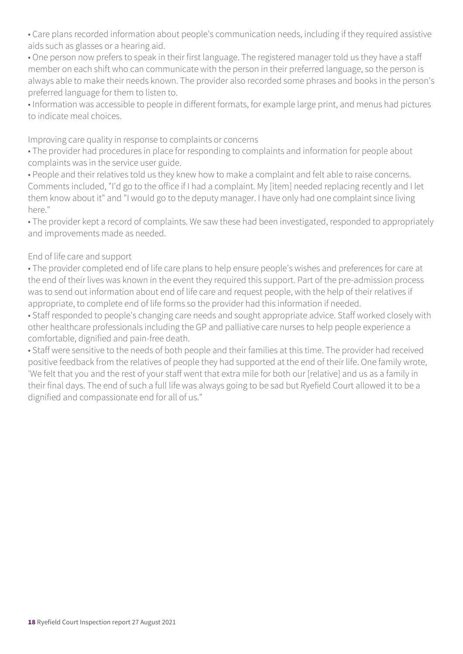• Care plans recorded information about people's communication needs, including if they required assistive aids such as glasses or a hearing aid.

• One person now prefers to speak in their first language. The registered manager told us they have a staff member on each shift who can communicate with the person in their preferred language, so the person is always able to make their needs known. The provider also recorded some phrases and books in the person's preferred language for them to listen to.

• Information was accessible to people in different formats, for example large print, and menus had pictures to indicate meal choices.

Improving care quality in response to complaints or concerns

• The provider had procedures in place for responding to complaints and information for people about complaints was in the service user guide.

• People and their relatives told us they knew how to make a complaint and felt able to raise concerns. Comments included, "I'd go to the office if I had a complaint. My [item] needed replacing recently and I let them know about it" and "I would go to the deputy manager. I have only had one complaint since living here."

• The provider kept a record of complaints. We saw these had been investigated, responded to appropriately and improvements made as needed.

#### End of life care and support

• The provider completed end of life care plans to help ensure people's wishes and preferences for care at the end of their lives was known in the event they required this support. Part of the pre-admission process was to send out information about end of life care and request people, with the help of their relatives if appropriate, to complete end of life forms so the provider had this information if needed.

• Staff responded to people's changing care needs and sought appropriate advice. Staff worked closely with other healthcare professionals including the GP and palliative care nurses to help people experience a comfortable, dignified and pain-free death.

• Staff were sensitive to the needs of both people and their families at this time. The provider had received positive feedback from the relatives of people they had supported at the end of their life. One family wrote, 'We felt that you and the rest of your staff went that extra mile for both our [relative] and us as a family in their final days. The end of such a full life was always going to be sad but Ryefield Court allowed it to be a dignified and compassionate end for all of us."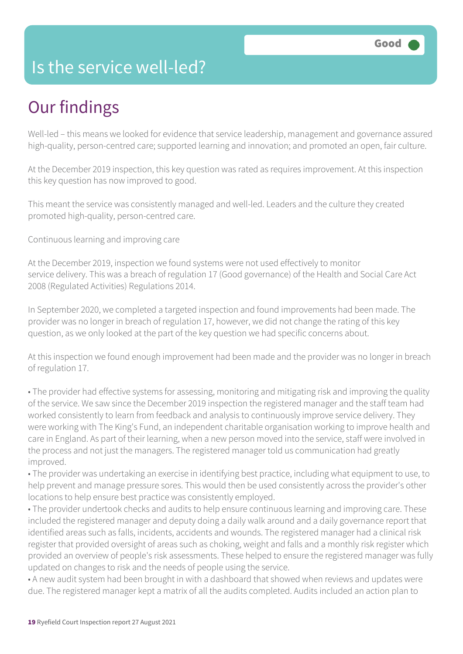### Is the service well-led?

# Our findings

Well-led – this means we looked for evidence that service leadership, management and governance assured high-quality, person-centred care; supported learning and innovation; and promoted an open, fair culture.

At the December 2019 inspection, this key question was rated as requires improvement. At this inspection this key question has now improved to good.

This meant the service was consistently managed and well-led. Leaders and the culture they created promoted high-quality, person-centred care.

Continuous learning and improving care

At the December 2019, inspection we found systems were not used effectively to monitor service delivery. This was a breach of regulation 17 (Good governance) of the Health and Social Care Act 2008 (Regulated Activities) Regulations 2014.

In September 2020, we completed a targeted inspection and found improvements had been made. The provider was no longer in breach of regulation 17, however, we did not change the rating of this key question, as we only looked at the part of the key question we had specific concerns about.

At this inspection we found enough improvement had been made and the provider was no longer in breach of regulation 17.

• The provider had effective systems for assessing, monitoring and mitigating risk and improving the quality of the service. We saw since the December 2019 inspection the registered manager and the staff team had worked consistently to learn from feedback and analysis to continuously improve service delivery. They were working with The King's Fund, an independent charitable organisation working to improve health and care in England. As part of their learning, when a new person moved into the service, staff were involved in the process and not just the managers. The registered manager told us communication had greatly improved.

• The provider was undertaking an exercise in identifying best practice, including what equipment to use, to help prevent and manage pressure sores. This would then be used consistently across the provider's other locations to help ensure best practice was consistently employed.

• The provider undertook checks and audits to help ensure continuous learning and improving care. These included the registered manager and deputy doing a daily walk around and a daily governance report that identified areas such as falls, incidents, accidents and wounds. The registered manager had a clinical risk register that provided oversight of areas such as choking, weight and falls and a monthly risk register which provided an overview of people's risk assessments. These helped to ensure the registered manager was fully updated on changes to risk and the needs of people using the service.

• A new audit system had been brought in with a dashboard that showed when reviews and updates were due. The registered manager kept a matrix of all the audits completed. Audits included an action plan to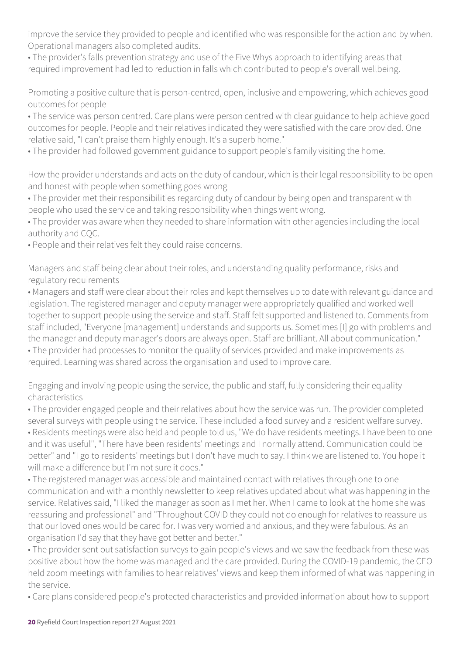improve the service they provided to people and identified who was responsible for the action and by when. Operational managers also completed audits.

• The provider's falls prevention strategy and use of the Five Whys approach to identifying areas that required improvement had led to reduction in falls which contributed to people's overall wellbeing.

Promoting a positive culture that is person-centred, open, inclusive and empowering, which achieves good outcomes for people

• The service was person centred. Care plans were person centred with clear guidance to help achieve good outcomes for people. People and their relatives indicated they were satisfied with the care provided. One relative said, "I can't praise them highly enough. It's a superb home."

• The provider had followed government guidance to support people's family visiting the home.

How the provider understands and acts on the duty of candour, which is their legal responsibility to be open and honest with people when something goes wrong

• The provider met their responsibilities regarding duty of candour by being open and transparent with people who used the service and taking responsibility when things went wrong.

• The provider was aware when they needed to share information with other agencies including the local authority and CQC.

• People and their relatives felt they could raise concerns.

Managers and staff being clear about their roles, and understanding quality performance, risks and regulatory requirements

• Managers and staff were clear about their roles and kept themselves up to date with relevant guidance and legislation. The registered manager and deputy manager were appropriately qualified and worked well together to support people using the service and staff. Staff felt supported and listened to. Comments from staff included, "Everyone [management] understands and supports us. Sometimes [I] go with problems and the manager and deputy manager's doors are always open. Staff are brilliant. All about communication." • The provider had processes to monitor the quality of services provided and make improvements as required. Learning was shared across the organisation and used to improve care.

Engaging and involving people using the service, the public and staff, fully considering their equality characteristics

• The provider engaged people and their relatives about how the service was run. The provider completed several surveys with people using the service. These included a food survey and a resident welfare survey. • Residents meetings were also held and people told us, "We do have residents meetings. I have been to one and it was useful", "There have been residents' meetings and I normally attend. Communication could be better" and "I go to residents' meetings but I don't have much to say. I think we are listened to. You hope it will make a difference but I'm not sure it does."

• The registered manager was accessible and maintained contact with relatives through one to one communication and with a monthly newsletter to keep relatives updated about what was happening in the service. Relatives said, "I liked the manager as soon as I met her. When I came to look at the home she was reassuring and professional" and "Throughout COVID they could not do enough for relatives to reassure us that our loved ones would be cared for. I was very worried and anxious, and they were fabulous. As an organisation I'd say that they have got better and better."

• The provider sent out satisfaction surveys to gain people's views and we saw the feedback from these was positive about how the home was managed and the care provided. During the COVID-19 pandemic, the CEO held zoom meetings with families to hear relatives' views and keep them informed of what was happening in the service.

• Care plans considered people's protected characteristics and provided information about how to support